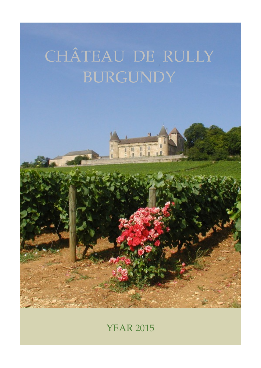# CHÂTEAU DE RULLY BURGUNDY

**11** 

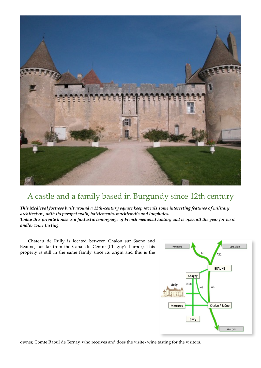

#### A castle and a family based in Burgundy since 12th century

*This Medieval fortress built around a 12th-century square keep reveals some interesting features of military architecture, with its parapet walk, battlements, machicoulis and loopholes. Today this private house is a fantastic temoignage of French medieval history and is open all the year for visit and/or wine tasting.*

Chateau de Rully is located between Chalon sur Saone and Beaune, not far from the Canal du Centre (Chagny's harbor). This property is still in the same family since its origin and this is the



owner, Comte Raoul de Ternay, who receives and does the visite/wine tasting for the visitors.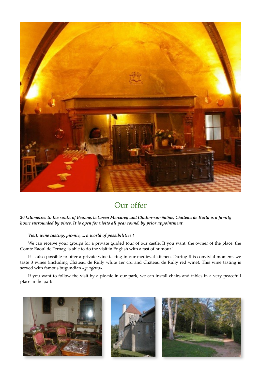

### Our offer

*20 kilometres to the south of Beaune, between Mercurey and Chalon-sur-Saône, Château de Rully is a family home surrounded by vines. It is open for visits all year round, by prior appointment.*

#### *Visit, wine tasting, pic-nic, ... a world of possibilities !*

We can receive your groups for a private guided tour of our castle. If you want, the owner of the place, the Comte Raoul de Ternay, is able to do the visit in English with a tast of humour !

It is also possible to offer a private wine tasting in our medieval kitchen. During this convivial moment, we taste 3 wines (including Château de Rully white 1er cru and Château de Rully red wine). This wine tasting is served with famous bugundian *«gougères».*

If you want to follow the visit by a pic-nic in our park, we can install chairs and tables in a very peacefull place in the park.